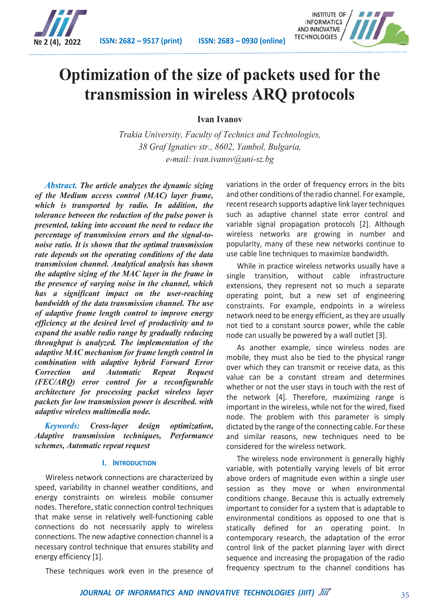

**№ 2 (4), 2022 ISSN: 2682 – 9517 (print) ISSN: 2683 – 0930 (online)**



# **Optimization of the size of packets used for the transmission in wireless ARQ protocols**

**Ivan Ivanov**

*Trakia University, Faculty of Technics and Technologies, 38 Graf Ignatiev str., 8602, Yambol, Bulgaria, e-mail: ivan.ivanov@uni-sz.bg*

*Abstract. The article analyzes the dynamic sizing of the Medium access control (MAC) layer frame, which is transported by radio. In addition, the tolerance between the reduction of the pulse power is presented, taking into account the need to reduce the percentage of transmission errors and the signal-tonoise ratio. It is shown that the optimal transmission rate depends on the operating conditions of the data transmission channel. Analytical analysis has shown the adaptive sizing of the MAC layer in the frame in the presence of varying noise in the channel, which has a significant impact on the user-reaching bandwidth of the data transmission channel. The use of adaptive frame length control to improve energy efficiency at the desired level of productivity and to expand the usable radio range by gradually reducing throughput is analyzed. The implementation of the adaptive MAC mechanism for frame length control in combination with adaptive hybrid Forward Error Correction and Automatic Repeat Request (FEC/ARQ) error control for a reconfigurable architecture for processing packet wireless layer packets for low transmission power is described. with adaptive wireless multimedia node.*

*Keywords: Cross-layer design optimization, Adaptive transmission techniques, Performance schemes, Automatic repeat request*

# **I. INTRODUCTION**

Wireless network connections are characterized by speed, variability in channel weather conditions, and energy constraints on wireless mobile consumer nodes. Therefore, static connection control techniques that make sense in relatively well-functioning cable connections do not necessarily apply to wireless connections. The new adaptive connection channel is a necessary control technique that ensures stability and energy efficiency [1].

These techniques work even in the presence of

variations in the order of frequency errors in the bits and other conditions of the radio channel. For example, recent research supports adaptive link layer techniques such as adaptive channel state error control and variable signal propagation protocols [2]. Although wireless networks are growing in number and popularity, many of these new networks continue to use cable line techniques to maximize bandwidth.

While in practice wireless networks usually have a single transition, without cable infrastructure extensions, they represent not so much a separate operating point, but a new set of engineering constraints. For example, endpoints in a wireless network need to be energy efficient, as they are usually not tied to a constant source power, while the cable node can usually be powered by a wall outlet [3].

As another example, since wireless nodes are mobile, they must also be tied to the physical range over which they can transmit or receive data, as this value can be a constant stream and determines whether or not the user stays in touch with the rest of the network [4]. Therefore, maximizing range is important in the wireless, while not for the wired, fixed node. The problem with this parameter is simply dictated by the range of the connecting cable. For these and similar reasons, new techniques need to be considered for the wireless network.

The wireless node environment is generally highly variable, with potentially varying levels of bit error above orders of magnitude even within a single user session as they move or when environmental conditions change. Because this is actually extremely important to consider for a system that is adaptable to environmental conditions as opposed to one that is statically defined for an operating point. In contemporary research, the adaptation of the error control link of the packet planning layer with direct sequence and increasing the propagation of the radio frequency spectrum to the channel conditions has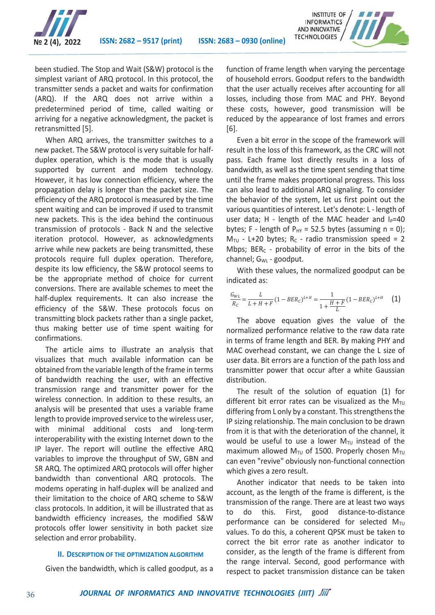



been studied. The Stop and Wait (S&W) protocol is the simplest variant of ARQ protocol. In this protocol, the transmitter sends a packet and waits for confirmation (ARQ). If the ARQ does not arrive within a predetermined period of time, called waiting or arriving for a negative acknowledgment, the packet is retransmitted [5].

When ARQ arrives, the transmitter switches to a new packet. The S&W protocol is very suitable for halfduplex operation, which is the mode that is usually supported by current and modem technology. However, it has low connection efficiency, where the propagation delay is longer than the packet size. The efficiency of the ARQ protocol is measured by the time spent waiting and can be improved if used to transmit new packets. This is the idea behind the continuous transmission of protocols - Back N and the selective iteration protocol. However, as acknowledgments arrive while new packets are being transmitted, these protocols require full duplex operation. Therefore, despite its low efficiency, the S&W protocol seems to be the appropriate method of choice for current conversions. There are available schemes to meet the half-duplex requirements. It can also increase the efficiency of the S&W. These protocols focus on transmitting block packets rather than a single packet, thus making better use of time spent waiting for confirmations.

The article aims to illustrate an analysis that visualizes that much available information can be obtained from the variable length of the frame in terms of bandwidth reaching the user, with an effective transmission range and transmitter power for the wireless connection. In addition to these results, an analysis will be presented that uses a variable frame length to provide improved service to the wireless user, with minimal additional costs and long-term interoperability with the existing Internet down to the IP layer. The report will outline the effective ARQ variables to improve the throughput of SW, GBN and SR ARQ. The optimized ARQ protocols will offer higher bandwidth than conventional ARQ protocols. The modems operating in half-duplex will be analized and their limitation to the choice of ARQ scheme to S&W class protocols. In addition, it will be illustrated that as bandwidth efficiency increases, the modified S&W protocols offer lower sensitivity in both packet size selection and error probability.

### **II. DESCRIPTION OF THE OPTIMIZATION ALGORITHM**

Given the bandwidth, which is called goodput, as a

function of frame length when varying the percentage of household errors. Goodput refers to the bandwidth that the user actually receives after accounting for all losses, including those from MAC and PHY. Beyond these costs, however, good transmission will be reduced by the appearance of lost frames and errors [6].

Even a bit error in the scope of the framework will result in the loss of this framework, as the CRC will not pass. Each frame lost directly results in a loss of bandwidth, as well as the time spent sending that time until the frame makes proportional progress. This loss can also lead to additional ARQ signaling. To consider the behavior of the system, let us first point out the various quantities of interest. Let's denote: L - length of user data; H - length of the MAC header and  $I_P=40$ bytes; F - length of  $P_{HY}$  = 52.5 bytes (assuming n = 0);  $M_{\text{TU}}$  - L+20 bytes; R<sub>C</sub> - radio transmission speed = 2 Mbps;  $BER_C$  - probability of error in the bits of the channel; G<sub>WL</sub> - goodput.

With these values, the normalized goodput can be indicated as:

$$
\frac{G_{WL}}{R_C} = \frac{L}{L + H + F} (1 - BER_C)^{L+H} = \frac{1}{1 + \frac{H + F}{L}} (1 - BER_C)^{L+H}
$$
 (1)

The above equation gives the value of the normalized performance relative to the raw data rate in terms of frame length and BER. By making PHY and MAC overhead constant, we can change the L size of user data. Bit errors are a function of the path loss and transmitter power that occur after a white Gaussian distribution.

The result of the solution of equation (1) for different bit error rates can be visualized as the  $M_{\text{TU}}$ differing from L only by a constant. This strengthens the IP sizing relationship. The main conclusion to be drawn from it is that with the deterioration of the channel, it would be useful to use a lower  $M_{\text{TU}}$  instead of the maximum allowed  $M_{\text{TU}}$  of 1500. Properly chosen  $M_{\text{TU}}$ can even "revive" obviously non-functional connection which gives a zero result.

Another indicator that needs to be taken into account, as the length of the frame is different, is the transmission of the range. There are at least two ways to do this. First, good distance-to-distance performance can be considered for selected  $M_{\text{TU}}$ values. To do this, a coherent QPSK must be taken to correct the bit error rate as another indicator to consider, as the length of the frame is different from the range interval. Second, good performance with respect to packet transmission distance can be taken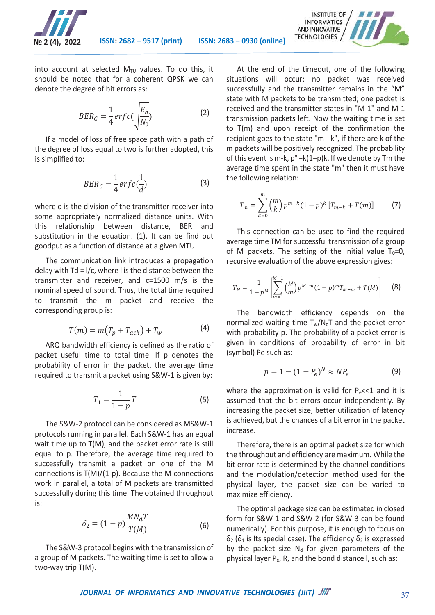



into account at selected  $M_{\text{TU}}$  values. To do this, it should be noted that for a coherent QPSK we can denote the degree of bit errors as:

$$
BER_C = \frac{1}{4}erfc\left(\frac{E_b}{N_0}\right) \tag{2}
$$

If a model of loss of free space path with a path of the degree of loss equal to two is further adopted, this is simplified to:

$$
BER_C = \frac{1}{4}erfc(\frac{1}{d})
$$
 (3)

where d is the division of the transmitter-receiver into some appropriately normalized distance units. With this relationship between distance, BER and substitution in the equation. (1), It can be find out goodput as a function of distance at a given MTU.

The communication link introduces a propagation delay with Td = l/c, where l is the distance between the transmitter and receiver, and c=1500 m/s is the nominal speed of sound. Thus, the total time required to transmit the m packet and receive the corresponding group is:

$$
T(m) = m(T_p + T_{ack}) + T_w \tag{4}
$$

ARQ bandwidth efficiency is defined as the ratio of packet useful time to total time. If p denotes the probability of error in the packet, the average time required to transmit a packet using S&W-1 is given by:

$$
T_1 = \frac{1}{1 - p}T\tag{5}
$$

The S&W-2 protocol can be considered as MS&W-1 protocols running in parallel. Each S&W-1 has an equal wait time up to T(M), and the packet error rate is still equal to p. Therefore, the average time required to successfully transmit a packet on one of the M connections is T(M)/(1-p). Because the M connections work in parallel, a total of M packets are transmitted successfully during this time. The obtained throughput is:

$$
\delta_2 = (1 - p) \frac{MN_d T}{T(M)} \tag{6}
$$

The S&W-3 protocol begins with the transmission of a group of M packets. The waiting time is set to allow a two-way trip T(M).

At the end of the timeout, one of the following situations will occur: no packet was received successfully and the transmitter remains in the "M" state with M packets to be transmitted; one packet is received and the transmitter states in "M-1" and M-1 transmission packets left. Now the waiting time is set to T(m) and upon receipt of the confirmation the recipient goes to the state "m - k", if there are k of the m packets will be positively recognized. The probability of this event is m-k, p<sup>m</sup>-k(1−p)k. If we denote by Tm the average time spent in the state "m" then it must have the following relation:

$$
T_m = \sum_{k=0}^{m} {m \choose k} p^{m-k} (1-p)^k [T_{m-k} + T(m)] \qquad (7)
$$

This connection can be used to find the required average time TM for successful transmission of a group of M packets. The setting of the initial value  $T_0=0$ , recursive evaluation of the above expression gives:

$$
T_M = \frac{1}{1 - p^M} \left[ \sum_{m=1}^{M-1} {M \choose m} p^{M-m} (1 - p)^m T_{M-m} + T(M) \right]
$$
 (8)

The bandwidth efficiency depends on the normalized waiting time  $T_w/N_dT$  and the packet error with probability p. The probability of a packet error is given in conditions of probability of error in bit (symbol) Pe such as:

$$
p = 1 - (1 - P_e)^N \approx NP_e \tag{9}
$$

where the approximation is valid for  $P_e \ll 1$  and it is assumed that the bit errors occur independently. By increasing the packet size, better utilization of latency is achieved, but the chances of a bit error in the packet increase.

Therefore, there is an optimal packet size for which the throughput and efficiency are maximum. While the bit error rate is determined by the channel conditions and the modulation/detection method used for the physical layer, the packet size can be varied to maximize efficiency.

The optimal package size can be estimated in closed form for S&W-1 and S&W-2 (for S&W-3 can be found numerically). For this purpose, it is enough to focus on  $δ<sub>2</sub>$  ( $δ<sub>1</sub>$  is Its special case). The efficiency  $δ<sub>2</sub>$  is expressed by the packet size  $N_d$  for given parameters of the physical layer P<sub>e</sub>, R, and the bond distance I, such as: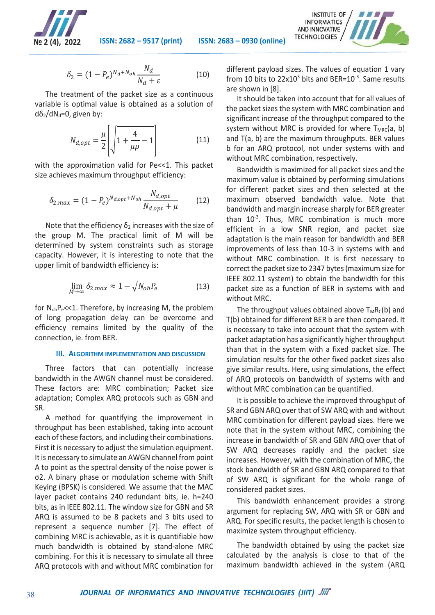

**№ 2 (4), 2022 ISSN: 2682 – 9517 (print) ISSN: 2683 – 0930 (online)**

$$
\delta_2 = (1 - P_e)^{N_d + N_{oh}} \frac{N_d}{N_d + \varepsilon} \tag{10}
$$

The treatment of the packet size as a continuous variable is optimal value is obtained as a solution of  $d\delta_2/dN_d=0$ , given by:

$$
N_{d,opt} = \frac{\mu}{2} \left[ \sqrt{1 + \frac{4}{\mu \rho} - 1} \right]
$$
 (11)

with the approximation valid for Pe<<1. This packet size achieves maximum throughput efficiency:

$$
\delta_{2,max} = (1 - P_e)^{N_{d,opt} + N_{oh}} \frac{N_{d,opt}}{N_{d,opt} + \mu}
$$
 (12)

Note that the efficiency  $\delta_2$  increases with the size of the group M. The practical limit of M will be determined by system constraints such as storage capacity. However, it is interesting to note that the upper limit of bandwidth efficiency is:

$$
\lim_{M \to \infty} \delta_{2,max} \approx 1 - \sqrt{N_{oh} P_e}
$$
 (13)

for  $N_{oh}P_e\ll 1$ . Therefore, by increasing M, the problem of long propagation delay can be overcome and efficiency remains limited by the quality of the connection, ie. from BER.

# **III. ALGORITHM IMPLEMENTATION AND DISCUSSION**

Three factors that can potentially increase bandwidth in the AWGN channel must be considered. These factors are: MRC combination; Packet size adaptation; Complex ARQ protocols such as GBN and SR.

A method for quantifying the improvement in throughput has been established, taking into account each of these factors, and including their combinations. First it is necessary to adjust the simulation equipment. It is necessary to simulate an AWGN channel from point A to point as the spectral density of the noise power is σ2. A binary phase or modulation scheme with Shift Keying (BPSK) is considered. We assume that the MAC layer packet contains 240 redundant bits, ie. h=240 bits, as in IEEE 802.11. The window size for GBN and SR ARQ is assumed to be 8 packets and 3 bits used to represent a sequence number [7]. The effect of combining MRC is achievable, as it is quantifiable how much bandwidth is obtained by stand-alone MRC combining. For this it is necessary to simulate all three ARQ protocols with and without MRC combination for

different payload sizes. The values of equation 1 vary from 10 bits to  $22x10^3$  bits and BER= $10^{-3}$ . Same results are shown in [8].

It should be taken into account that for all values of the packet sizes the system with MRC combination and significant increase of the throughput compared to the system without MRC is provided for where  $T_{MRC}(a, b)$ and T(a, b) are the maximum throughputs. BER values b for an ARQ protocol, not under systems with and without MRC combination, respectively.

Bandwidth is maximized for all packet sizes and the maximum value is obtained by performing simulations for different packet sizes and then selected at the maximum observed bandwidth value. Note that bandwidth and margin increase sharply for BER greater than  $10^{-3}$ . Thus, MRC combination is much more efficient in a low SNR region, and packet size adaptation is the main reason for bandwidth and BER improvements of less than 10-3 in systems with and without MRC combination. It is first necessary to correct the packet size to 2347 bytes (maximum size for IEEE 802.11 system) to obtain the bandwidth for this packet size as a function of BER in systems with and without MRC.

The throughput values obtained above  $T_MR_C(b)$  and T(b) obtained for different BER b are then compared. It is necessary to take into account that the system with packet adaptation has a significantly higher throughput than that in the system with a fixed packet size. The simulation results for the other fixed packet sizes also give similar results. Here, using simulations, the effect of ARQ protocols on bandwidth of systems with and without MRC combination can be quantified.

It is possible to achieve the improved throughput of SR and GBN ARQ over that of SW ARQ with and without MRC combination for different payload sizes. Here we note that in the system without MRC, combining the increase in bandwidth of SR and GBN ARQ over that of SW ARQ decreases rapidly and the packet size increases. However, with the combination of MRC, the stock bandwidth of SR and GBN ARQ compared to that of SW ARQ is significant for the whole range of considered packet sizes.

This bandwidth enhancement provides a strong argument for replacing SW, ARQ with SR or GBN and ARQ. For specific results, the packet length is chosen to maximize system throughput efficiency.

The bandwidth obtained by using the packet size calculated by the analysis is close to that of the maximum bandwidth achieved in the system (ARQ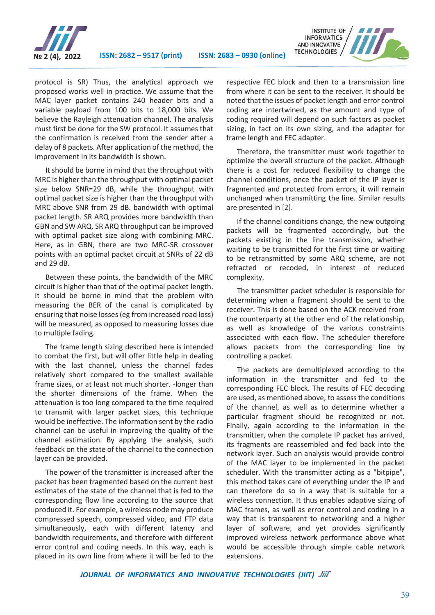

protocol is SR) Thus, the analytical approach we proposed works well in practice. We assume that the MAC layer packet contains 240 header bits and a variable payload from 100 bits to 18,000 bits. We believe the Rayleigh attenuation channel. The analysis must first be done for the SW protocol. It assumes that the confirmation is received from the sender after a delay of 8 packets. After application of the method, the improvement in its bandwidth is shown.

It should be borne in mind that the throughput with MRC is higher than the throughput with optimal packet size below SNR=29 dB, while the throughput with optimal packet size is higher than the throughput with MRC above SNR from 29 dB. bandwidth with optimal packet length. SR ARQ provides more bandwidth than GBN and SW ARQ. SR ARQ throughput can be improved with optimal packet size along with combining MRC. Here, as in GBN, there are two MRC-SR crossover points with an optimal packet circuit at SNRs of 22 dB and 29 dB.

Between these points, the bandwidth of the MRC circuit is higher than that of the optimal packet length. It should be borne in mind that the problem with measuring the BER of the canal is complicated by ensuring that noise losses (eg from increased road loss) will be measured, as opposed to measuring losses due to multiple fading.

The frame length sizing described here is intended to combat the first, but will offer little help in dealing with the last channel, unless the channel fades relatively short compared to the smallest available frame sizes, or at least not much shorter. -longer than the shorter dimensions of the frame. When the attenuation is too long compared to the time required to transmit with larger packet sizes, this technique would be ineffective. The information sent by the radio channel can be useful in improving the quality of the channel estimation. By applying the analysis, such feedback on the state of the channel to the connection layer can be provided.

The power of the transmitter is increased after the packet has been fragmented based on the current best estimates of the state of the channel that is fed to the corresponding flow line according to the source that produced it. For example, a wireless node may produce compressed speech, compressed video, and FTP data simultaneously, each with different latency and bandwidth requirements, and therefore with different error control and coding needs. In this way, each is placed in its own line from where it will be fed to the

respective FEC block and then to a transmission line from where it can be sent to the receiver. It should be noted that the issues of packet length and error control coding are intertwined, as the amount and type of coding required will depend on such factors as packet sizing, in fact on its own sizing, and the adapter for frame length and FEC adapter.

Therefore, the transmitter must work together to optimize the overall structure of the packet. Although there is a cost for reduced flexibility to change the channel conditions, once the packet of the IP layer is fragmented and protected from errors, it will remain unchanged when transmitting the line. Similar results are presented in [2].

If the channel conditions change, the new outgoing packets will be fragmented accordingly, but the packets existing in the line transmission, whether waiting to be transmitted for the first time or waiting to be retransmitted by some ARQ scheme, are not refracted or recoded, in interest of reduced complexity.

The transmitter packet scheduler is responsible for determining when a fragment should be sent to the receiver. This is done based on the ACK received from the counterparty at the other end of the relationship, as well as knowledge of the various constraints associated with each flow. The scheduler therefore allows packets from the corresponding line by controlling a packet.

The packets are demultiplexed according to the information in the transmitter and fed to the corresponding FEC block. The results of FEC decoding are used, as mentioned above, to assess the conditions of the channel, as well as to determine whether a particular fragment should be recognized or not. Finally, again according to the information in the transmitter, when the complete IP packet has arrived, its fragments are reassembled and fed back into the network layer. Such an analysis would provide control of the MAC layer to be implemented in the packet scheduler. With the transmitter acting as a "bitpipe", this method takes care of everything under the IP and can therefore do so in a way that is suitable for a wireless connection. It thus enables adaptive sizing of MAC frames, as well as error control and coding in a way that is transparent to networking and a higher layer of software, and yet provides significantly improved wireless network performance above what would be accessible through simple cable network extensions.